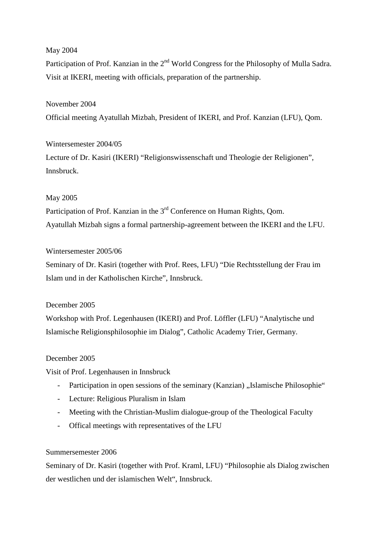# May 2004

Participation of Prof. Kanzian in the 2<sup>nd</sup> World Congress for the Philosophy of Mulla Sadra. Visit at IKERI, meeting with officials, preparation of the partnership.

# November 2004

Official meeting Ayatullah Mizbah, President of IKERI, and Prof. Kanzian (LFU), Qom.

# Wintersemester 2004/05

Lecture of Dr. Kasiri (IKERI) "Religionswissenschaft und Theologie der Religionen", Innsbruck.

# May 2005

Participation of Prof. Kanzian in the 3<sup>rd</sup> Conference on Human Rights, Oom. Ayatullah Mizbah signs a formal partnership-agreement between the IKERI and the LFU.

# Wintersemester 2005/06

Seminary of Dr. Kasiri (together with Prof. Rees, LFU) "Die Rechtsstellung der Frau im Islam und in der Katholischen Kirche", Innsbruck.

### December 2005

Workshop with Prof. Legenhausen (IKERI) and Prof. Löffler (LFU) "Analytische und Islamische Religionsphilosophie im Dialog", Catholic Academy Trier, Germany.

### December 2005

Visit of Prof. Legenhausen in Innsbruck

- Participation in open sessions of the seminary (Kanzian) "Islamische Philosophie"
- Lecture: Religious Pluralism in Islam
- Meeting with the Christian-Muslim dialogue-group of the Theological Faculty
- Offical meetings with representatives of the LFU

### Summersemester 2006

Seminary of Dr. Kasiri (together with Prof. Kraml, LFU) "Philosophie als Dialog zwischen der westlichen und der islamischen Welt", Innsbruck.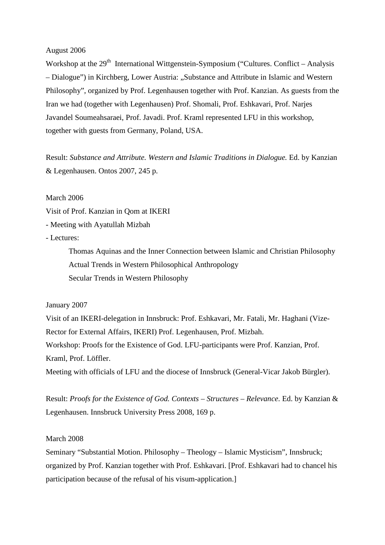#### August 2006

Workshop at the  $29<sup>th</sup>$  International Wittgenstein-Symposium ("Cultures. Conflict – Analysis – Dialogue") in Kirchberg, Lower Austria: "Substance and Attribute in Islamic and Western Philosophy", organized by Prof. Legenhausen together with Prof. Kanzian. As guests from the Iran we had (together with Legenhausen) Prof. Shomali, Prof. Eshkavari, Prof. Narjes Javandel Soumeahsaraei, Prof. Javadi. Prof. Kraml represented LFU in this workshop, together with guests from Germany, Poland, USA.

Result: *Substance and Attribute. Western and Islamic Traditions in Dialogue.* Ed. by Kanzian & Legenhausen. Ontos 2007, 245 p.

#### March 2006

Visit of Prof. Kanzian in Qom at IKERI

- Meeting with Ayatullah Mizbah

- Lectures:

Thomas Aquinas and the Inner Connection between Islamic and Christian Philosophy Actual Trends in Western Philosophical Anthropology Secular Trends in Western Philosophy

#### January 2007

Visit of an IKERI-delegation in Innsbruck: Prof. Eshkavari, Mr. Fatali, Mr. Haghani (Vize-Rector for External Affairs, IKERI) Prof. Legenhausen, Prof. Mizbah. Workshop: Proofs for the Existence of God. LFU-participants were Prof. Kanzian, Prof. Kraml, Prof. Löffler.

Meeting with officials of LFU and the diocese of Innsbruck (General-Vicar Jakob Bürgler).

Result: *Proofs for the Existence of God. Contexts – Structures – Relevance*. Ed. by Kanzian & Legenhausen. Innsbruck University Press 2008, 169 p.

#### March 2008

Seminary "Substantial Motion. Philosophy – Theology – Islamic Mysticism", Innsbruck; organized by Prof. Kanzian together with Prof. Eshkavari. [Prof. Eshkavari had to chancel his participation because of the refusal of his visum-application.]